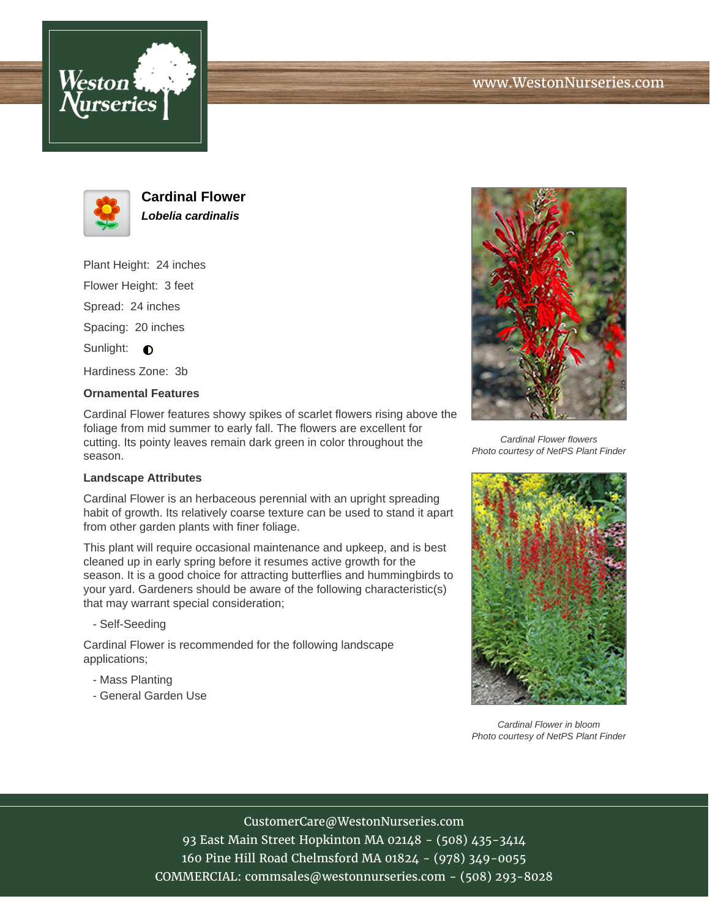





**Cardinal Flower Lobelia cardinalis**

Plant Height: 24 inches

Flower Height: 3 feet

Spread: 24 inches

Spacing: 20 inches

Sunlight:  $\bigcirc$ 

Hardiness Zone: 3b

## **Ornamental Features**

Cardinal Flower features showy spikes of scarlet flowers rising above the foliage from mid summer to early fall. The flowers are excellent for cutting. Its pointy leaves remain dark green in color throughout the season.

#### **Landscape Attributes**

Cardinal Flower is an herbaceous perennial with an upright spreading habit of growth. Its relatively coarse texture can be used to stand it apart from other garden plants with finer foliage.

This plant will require occasional maintenance and upkeep, and is best cleaned up in early spring before it resumes active growth for the season. It is a good choice for attracting butterflies and hummingbirds to your yard. Gardeners should be aware of the following characteristic(s) that may warrant special consideration;

- Self-Seeding

Cardinal Flower is recommended for the following landscape applications;

- Mass Planting
- General Garden Use



Cardinal Flower flowers Photo courtesy of NetPS Plant Finder



Cardinal Flower in bloom Photo courtesy of NetPS Plant Finder

# CustomerCare@WestonNurseries.com

93 East Main Street Hopkinton MA 02148 - (508) 435-3414 160 Pine Hill Road Chelmsford MA 01824 - (978) 349-0055 COMMERCIAL: commsales@westonnurseries.com - (508) 293-8028